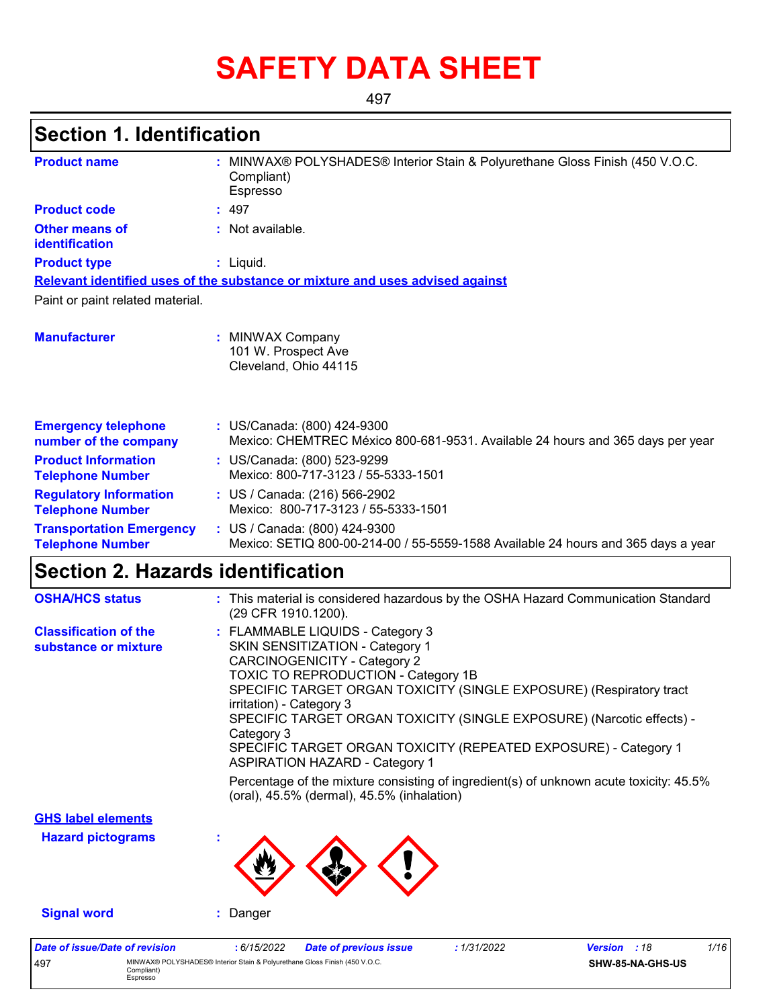## **SAFETY DATA SHEET**

497

## **Section 1. Identification**

| <b>Product name</b>                                        | : MINWAX® POLYSHADES® Interior Stain & Polyurethane Gloss Finish (450 V.O.C.<br>Compliant)<br>Espresso                                                                                                                                                                                                                                                                                                                                                                                                                                                                                          |
|------------------------------------------------------------|-------------------------------------------------------------------------------------------------------------------------------------------------------------------------------------------------------------------------------------------------------------------------------------------------------------------------------------------------------------------------------------------------------------------------------------------------------------------------------------------------------------------------------------------------------------------------------------------------|
| <b>Product code</b>                                        | : 497                                                                                                                                                                                                                                                                                                                                                                                                                                                                                                                                                                                           |
| <b>Other means of</b><br><b>identification</b>             | : Not available.                                                                                                                                                                                                                                                                                                                                                                                                                                                                                                                                                                                |
| <b>Product type</b>                                        | : Liquid.                                                                                                                                                                                                                                                                                                                                                                                                                                                                                                                                                                                       |
|                                                            | Relevant identified uses of the substance or mixture and uses advised against                                                                                                                                                                                                                                                                                                                                                                                                                                                                                                                   |
| Paint or paint related material.                           |                                                                                                                                                                                                                                                                                                                                                                                                                                                                                                                                                                                                 |
| <b>Manufacturer</b>                                        | : MINWAX Company<br>101 W. Prospect Ave<br>Cleveland, Ohio 44115                                                                                                                                                                                                                                                                                                                                                                                                                                                                                                                                |
| <b>Emergency telephone</b><br>number of the company        | : US/Canada: (800) 424-9300<br>Mexico: CHEMTREC México 800-681-9531. Available 24 hours and 365 days per year                                                                                                                                                                                                                                                                                                                                                                                                                                                                                   |
| <b>Product Information</b><br><b>Telephone Number</b>      | : US/Canada: (800) 523-9299<br>Mexico: 800-717-3123 / 55-5333-1501                                                                                                                                                                                                                                                                                                                                                                                                                                                                                                                              |
| <b>Regulatory Information</b><br><b>Telephone Number</b>   | : US / Canada: (216) 566-2902<br>Mexico: 800-717-3123 / 55-5333-1501                                                                                                                                                                                                                                                                                                                                                                                                                                                                                                                            |
| <b>Transportation Emergency</b><br><b>Telephone Number</b> | : US / Canada: (800) 424-9300<br>Mexico: SETIQ 800-00-214-00 / 55-5559-1588 Available 24 hours and 365 days a year                                                                                                                                                                                                                                                                                                                                                                                                                                                                              |
| <b>Section 2. Hazards identification</b>                   |                                                                                                                                                                                                                                                                                                                                                                                                                                                                                                                                                                                                 |
| <b>OSHA/HCS status</b>                                     | : This material is considered hazardous by the OSHA Hazard Communication Standard<br>(29 CFR 1910.1200).                                                                                                                                                                                                                                                                                                                                                                                                                                                                                        |
| <b>Classification of the</b><br>substance or mixture       | : FLAMMABLE LIQUIDS - Category 3<br>SKIN SENSITIZATION - Category 1<br><b>CARCINOGENICITY - Category 2</b><br>TOXIC TO REPRODUCTION - Category 1B<br>SPECIFIC TARGET ORGAN TOXICITY (SINGLE EXPOSURE) (Respiratory tract<br>irritation) - Category 3<br>SPECIFIC TARGET ORGAN TOXICITY (SINGLE EXPOSURE) (Narcotic effects) -<br>Category 3<br>SPECIFIC TARGET ORGAN TOXICITY (REPEATED EXPOSURE) - Category 1<br><b>ASPIRATION HAZARD - Category 1</b><br>Percentage of the mixture consisting of ingredient(s) of unknown acute toxicity: 45.5%<br>(oral), 45.5% (dermal), 45.5% (inhalation) |
| <b>GHS label elements</b>                                  |                                                                                                                                                                                                                                                                                                                                                                                                                                                                                                                                                                                                 |
| <b>Hazard pictograms</b>                                   |                                                                                                                                                                                                                                                                                                                                                                                                                                                                                                                                                                                                 |
| <b>Signal word</b>                                         | Danger                                                                                                                                                                                                                                                                                                                                                                                                                                                                                                                                                                                          |

| Date of issue/Date of revision |                                                                                                      | : 6/15/2022 | <b>Date of previous issue</b> | 1/31/2022 | <b>Version</b> : 18 | 1/16 |
|--------------------------------|------------------------------------------------------------------------------------------------------|-------------|-------------------------------|-----------|---------------------|------|
| 497                            | MINWAX® POLYSHADES® Interior Stain & Polyurethane Gloss Finish (450 V.O.C.<br>Compliant)<br>Espresso |             |                               |           | SHW-85-NA-GHS-US    |      |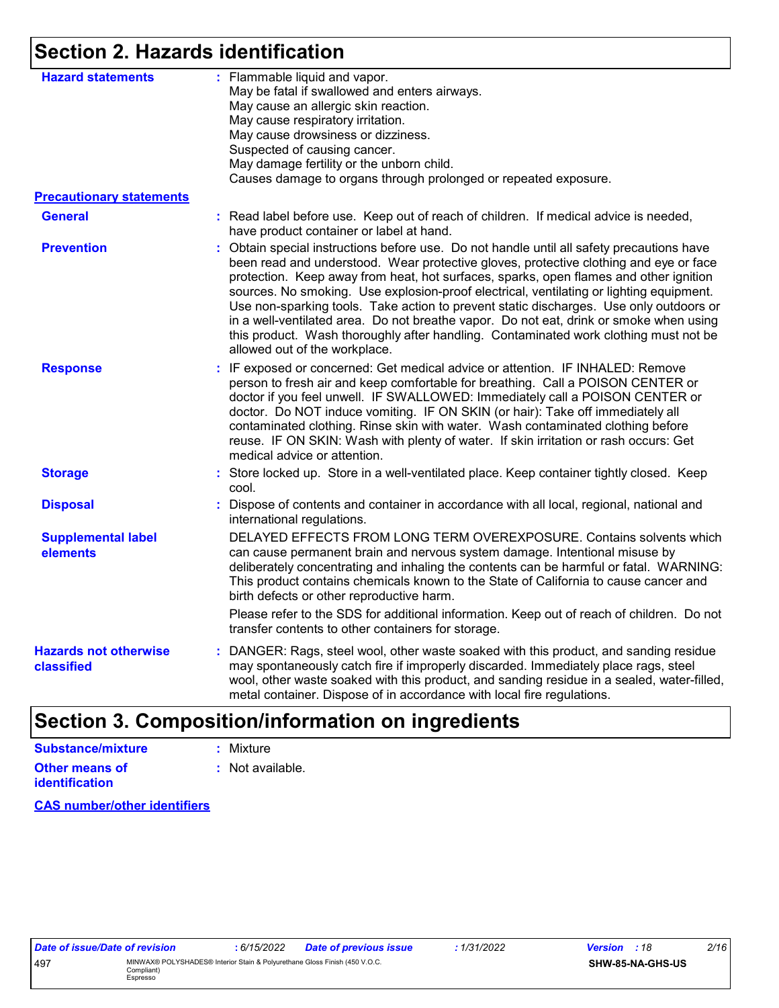### **Section 2. Hazards identification**

| <b>Hazard statements</b>                   | : Flammable liquid and vapor.<br>May be fatal if swallowed and enters airways.<br>May cause an allergic skin reaction.<br>May cause respiratory irritation.<br>May cause drowsiness or dizziness.<br>Suspected of causing cancer.<br>May damage fertility or the unborn child.<br>Causes damage to organs through prolonged or repeated exposure.                                                                                                                                                                                                                                                                                                                                 |  |
|--------------------------------------------|-----------------------------------------------------------------------------------------------------------------------------------------------------------------------------------------------------------------------------------------------------------------------------------------------------------------------------------------------------------------------------------------------------------------------------------------------------------------------------------------------------------------------------------------------------------------------------------------------------------------------------------------------------------------------------------|--|
| <b>Precautionary statements</b>            |                                                                                                                                                                                                                                                                                                                                                                                                                                                                                                                                                                                                                                                                                   |  |
| <b>General</b>                             | : Read label before use. Keep out of reach of children. If medical advice is needed,<br>have product container or label at hand.                                                                                                                                                                                                                                                                                                                                                                                                                                                                                                                                                  |  |
| <b>Prevention</b>                          | Obtain special instructions before use. Do not handle until all safety precautions have<br>been read and understood. Wear protective gloves, protective clothing and eye or face<br>protection. Keep away from heat, hot surfaces, sparks, open flames and other ignition<br>sources. No smoking. Use explosion-proof electrical, ventilating or lighting equipment.<br>Use non-sparking tools. Take action to prevent static discharges. Use only outdoors or<br>in a well-ventilated area. Do not breathe vapor. Do not eat, drink or smoke when using<br>this product. Wash thoroughly after handling. Contaminated work clothing must not be<br>allowed out of the workplace. |  |
| <b>Response</b>                            | : IF exposed or concerned: Get medical advice or attention. IF INHALED: Remove<br>person to fresh air and keep comfortable for breathing. Call a POISON CENTER or<br>doctor if you feel unwell. IF SWALLOWED: Immediately call a POISON CENTER or<br>doctor. Do NOT induce vomiting. IF ON SKIN (or hair): Take off immediately all<br>contaminated clothing. Rinse skin with water. Wash contaminated clothing before<br>reuse. IF ON SKIN: Wash with plenty of water. If skin irritation or rash occurs: Get<br>medical advice or attention.                                                                                                                                    |  |
| <b>Storage</b>                             | : Store locked up. Store in a well-ventilated place. Keep container tightly closed. Keep<br>cool.                                                                                                                                                                                                                                                                                                                                                                                                                                                                                                                                                                                 |  |
| <b>Disposal</b>                            | Dispose of contents and container in accordance with all local, regional, national and<br>international regulations.                                                                                                                                                                                                                                                                                                                                                                                                                                                                                                                                                              |  |
| <b>Supplemental label</b><br>elements      | DELAYED EFFECTS FROM LONG TERM OVEREXPOSURE. Contains solvents which<br>can cause permanent brain and nervous system damage. Intentional misuse by<br>deliberately concentrating and inhaling the contents can be harmful or fatal. WARNING:<br>This product contains chemicals known to the State of California to cause cancer and<br>birth defects or other reproductive harm.                                                                                                                                                                                                                                                                                                 |  |
|                                            | Please refer to the SDS for additional information. Keep out of reach of children. Do not<br>transfer contents to other containers for storage.                                                                                                                                                                                                                                                                                                                                                                                                                                                                                                                                   |  |
| <b>Hazards not otherwise</b><br>classified | DANGER: Rags, steel wool, other waste soaked with this product, and sanding residue<br>may spontaneously catch fire if improperly discarded. Immediately place rags, steel<br>wool, other waste soaked with this product, and sanding residue in a sealed, water-filled,<br>metal container. Dispose of in accordance with local fire regulations.                                                                                                                                                                                                                                                                                                                                |  |
|                                            |                                                                                                                                                                                                                                                                                                                                                                                                                                                                                                                                                                                                                                                                                   |  |

### **Section 3. Composition/information on ingredients**

| Substance/mixture     | : Mixture        |
|-----------------------|------------------|
| Other means of        | : Not available. |
| <b>identification</b> |                  |

**CAS number/other identifiers**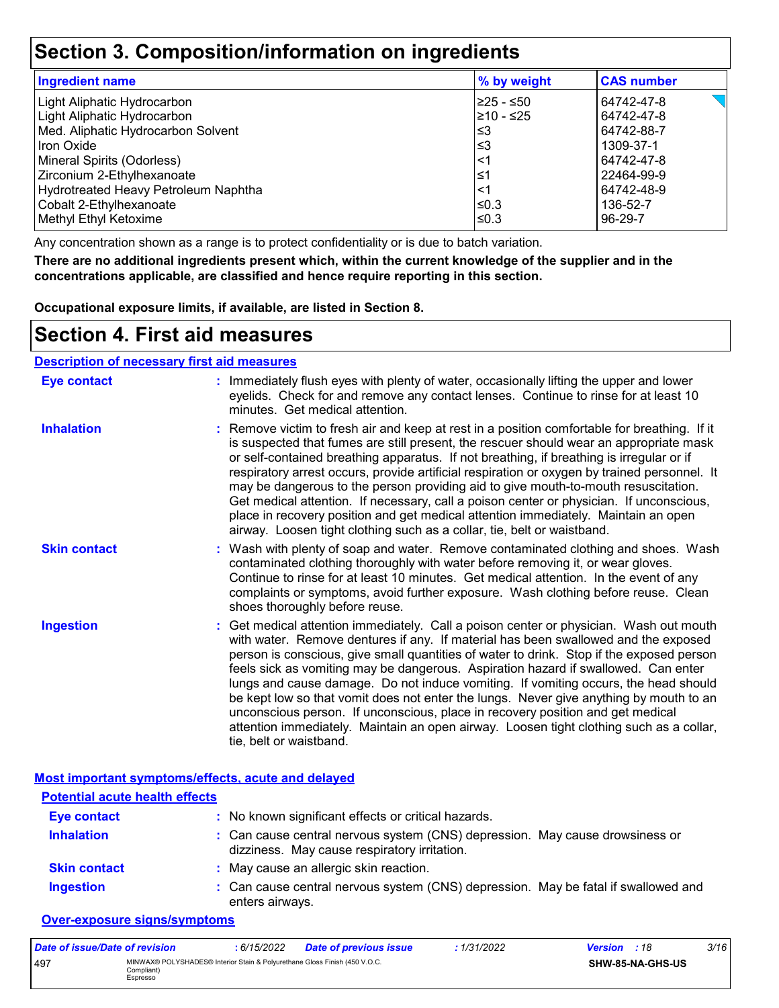### **Section 3. Composition/information on ingredients**

| <b>Ingredient name</b>               | % by weight | <b>CAS number</b> |
|--------------------------------------|-------------|-------------------|
| Light Aliphatic Hydrocarbon          | l≥25 - ≤50  | 64742-47-8        |
| Light Aliphatic Hydrocarbon          | 210 - ≤25   | 64742-47-8        |
| Med. Aliphatic Hydrocarbon Solvent   | l≤3         | 64742-88-7        |
| Iron Oxide                           | '≤3         | 1309-37-1         |
| Mineral Spirits (Odorless)           | $<$ 1       | 64742-47-8        |
| Zirconium 2-Ethylhexanoate           | ≤1          | 22464-99-9        |
| Hydrotreated Heavy Petroleum Naphtha | ≺1          | 64742-48-9        |
| Cobalt 2-Ethylhexanoate              | l≤0.3       | 136-52-7          |
| Methyl Ethyl Ketoxime                | l≤0.3       | 96-29-7           |

Any concentration shown as a range is to protect confidentiality or is due to batch variation.

**There are no additional ingredients present which, within the current knowledge of the supplier and in the concentrations applicable, are classified and hence require reporting in this section.**

**Occupational exposure limits, if available, are listed in Section 8.**

### **Section 4. First aid measures**

#### **Description of necessary first aid measures**

| <b>Eye contact</b>  | : Immediately flush eyes with plenty of water, occasionally lifting the upper and lower<br>eyelids. Check for and remove any contact lenses. Continue to rinse for at least 10<br>minutes. Get medical attention.                                                                                                                                                                                                                                                                                                                                                                                                                                                                                                                                       |
|---------------------|---------------------------------------------------------------------------------------------------------------------------------------------------------------------------------------------------------------------------------------------------------------------------------------------------------------------------------------------------------------------------------------------------------------------------------------------------------------------------------------------------------------------------------------------------------------------------------------------------------------------------------------------------------------------------------------------------------------------------------------------------------|
| <b>Inhalation</b>   | : Remove victim to fresh air and keep at rest in a position comfortable for breathing. If it<br>is suspected that fumes are still present, the rescuer should wear an appropriate mask<br>or self-contained breathing apparatus. If not breathing, if breathing is irregular or if<br>respiratory arrest occurs, provide artificial respiration or oxygen by trained personnel. It<br>may be dangerous to the person providing aid to give mouth-to-mouth resuscitation.<br>Get medical attention. If necessary, call a poison center or physician. If unconscious,<br>place in recovery position and get medical attention immediately. Maintain an open<br>airway. Loosen tight clothing such as a collar, tie, belt or waistband.                    |
| <b>Skin contact</b> | : Wash with plenty of soap and water. Remove contaminated clothing and shoes. Wash<br>contaminated clothing thoroughly with water before removing it, or wear gloves.<br>Continue to rinse for at least 10 minutes. Get medical attention. In the event of any<br>complaints or symptoms, avoid further exposure. Wash clothing before reuse. Clean<br>shoes thoroughly before reuse.                                                                                                                                                                                                                                                                                                                                                                   |
| <b>Ingestion</b>    | : Get medical attention immediately. Call a poison center or physician. Wash out mouth<br>with water. Remove dentures if any. If material has been swallowed and the exposed<br>person is conscious, give small quantities of water to drink. Stop if the exposed person<br>feels sick as vomiting may be dangerous. Aspiration hazard if swallowed. Can enter<br>lungs and cause damage. Do not induce vomiting. If vomiting occurs, the head should<br>be kept low so that vomit does not enter the lungs. Never give anything by mouth to an<br>unconscious person. If unconscious, place in recovery position and get medical<br>attention immediately. Maintain an open airway. Loosen tight clothing such as a collar,<br>tie, belt or waistband. |

|                                       | Most important symptoms/effects, acute and delayed                                                                           |
|---------------------------------------|------------------------------------------------------------------------------------------------------------------------------|
| <b>Potential acute health effects</b> |                                                                                                                              |
| <b>Eye contact</b>                    | : No known significant effects or critical hazards.                                                                          |
| <b>Inhalation</b>                     | : Can cause central nervous system (CNS) depression. May cause drowsiness or<br>dizziness. May cause respiratory irritation. |
| <b>Skin contact</b>                   | : May cause an allergic skin reaction.                                                                                       |
| <b>Ingestion</b>                      | : Can cause central nervous system (CNS) depression. May be fatal if swallowed and<br>enters airways.                        |

#### **Over-exposure signs/symptoms**

| Date of issue/Date of revision |                                                                                                        | 6/15/2022 | <b>Date of previous issue</b> | : 1/31/2022 | <b>Version</b> : 18 |                  | 3/16 |
|--------------------------------|--------------------------------------------------------------------------------------------------------|-----------|-------------------------------|-------------|---------------------|------------------|------|
| 497                            | MINWAX® POLYSHADES® Interior Stain & Polyurethane Gloss Finish (450 V.O.C.<br>Compliant) l<br>Espresso |           |                               |             |                     | SHW-85-NA-GHS-US |      |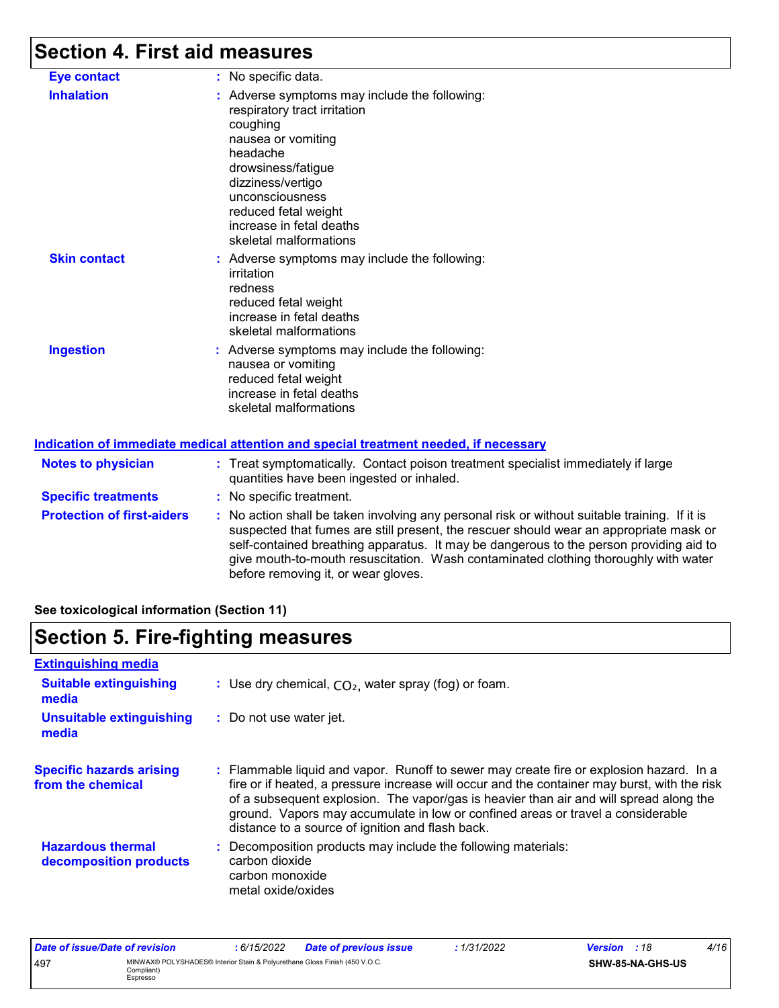### **Section 4. First aid measures**

| <b>Eye contact</b>                | : No specific data.                                                                                                                                                                                                                                                     |
|-----------------------------------|-------------------------------------------------------------------------------------------------------------------------------------------------------------------------------------------------------------------------------------------------------------------------|
| <b>Inhalation</b>                 | : Adverse symptoms may include the following:<br>respiratory tract irritation<br>coughing<br>nausea or vomiting<br>headache<br>drowsiness/fatigue<br>dizziness/vertigo<br>unconsciousness<br>reduced fetal weight<br>increase in fetal deaths<br>skeletal malformations |
| <b>Skin contact</b>               | : Adverse symptoms may include the following:<br>irritation<br>redness<br>reduced fetal weight<br>increase in fetal deaths<br>skeletal malformations                                                                                                                    |
| <b>Ingestion</b>                  | : Adverse symptoms may include the following:<br>nausea or vomiting<br>reduced fetal weight<br>increase in fetal deaths<br>skeletal malformations                                                                                                                       |
|                                   | Indication of immediate medical attention and special treatment needed, if necessary                                                                                                                                                                                    |
| <b>Notes to physician</b>         | : Treat symptomatically. Contact poison treatment specialist immediately if large<br>quantities have been ingested or inhaled.                                                                                                                                          |
| <b>Specific treatments</b>        | : No specific treatment.                                                                                                                                                                                                                                                |
| <b>Protection of first-aiders</b> | : No action shall be taken involving any personal risk or without suitable training.<br>والمناط والمتماط والمتحدد والمناط والمستند والمستنب الكافية والمستوات والمتاري                                                                                                  |

table training. If it is suspected that fumes are still present, the rescuer should wear an appropriate mask or self-contained breathing apparatus. It may be dangerous to the person providing aid to give mouth-to-mouth resuscitation. Wash contaminated clothing thoroughly with water before removing it, or wear gloves.

**See toxicological information (Section 11)**

### **Section 5. Fire-fighting measures**

| <b>Extinguishing media</b>                           |                                                                                                                                                                                                                                                                                                                                                                                                                          |
|------------------------------------------------------|--------------------------------------------------------------------------------------------------------------------------------------------------------------------------------------------------------------------------------------------------------------------------------------------------------------------------------------------------------------------------------------------------------------------------|
| <b>Suitable extinguishing</b><br>media               | : Use dry chemical, $CO2$ , water spray (fog) or foam.                                                                                                                                                                                                                                                                                                                                                                   |
| Unsuitable extinguishing<br>media                    | : Do not use water jet.                                                                                                                                                                                                                                                                                                                                                                                                  |
| <b>Specific hazards arising</b><br>from the chemical | : Flammable liquid and vapor. Runoff to sewer may create fire or explosion hazard. In a<br>fire or if heated, a pressure increase will occur and the container may burst, with the risk<br>of a subsequent explosion. The vapor/gas is heavier than air and will spread along the<br>ground. Vapors may accumulate in low or confined areas or travel a considerable<br>distance to a source of ignition and flash back. |
| <b>Hazardous thermal</b><br>decomposition products   | : Decomposition products may include the following materials:<br>carbon dioxide<br>carbon monoxide<br>metal oxide/oxides                                                                                                                                                                                                                                                                                                 |

| Date of issue/Date of revision |                                                                                                      | : 6/15/2022 | <b>Date of previous issue</b> | 1/31/2022 | <b>Version</b> : 18 |                  | 4/16 |
|--------------------------------|------------------------------------------------------------------------------------------------------|-------------|-------------------------------|-----------|---------------------|------------------|------|
| 497                            | MINWAX® POLYSHADES® Interior Stain & Polyurethane Gloss Finish (450 V.O.C.<br>Compliant)<br>Espresso |             |                               |           |                     | SHW-85-NA-GHS-US |      |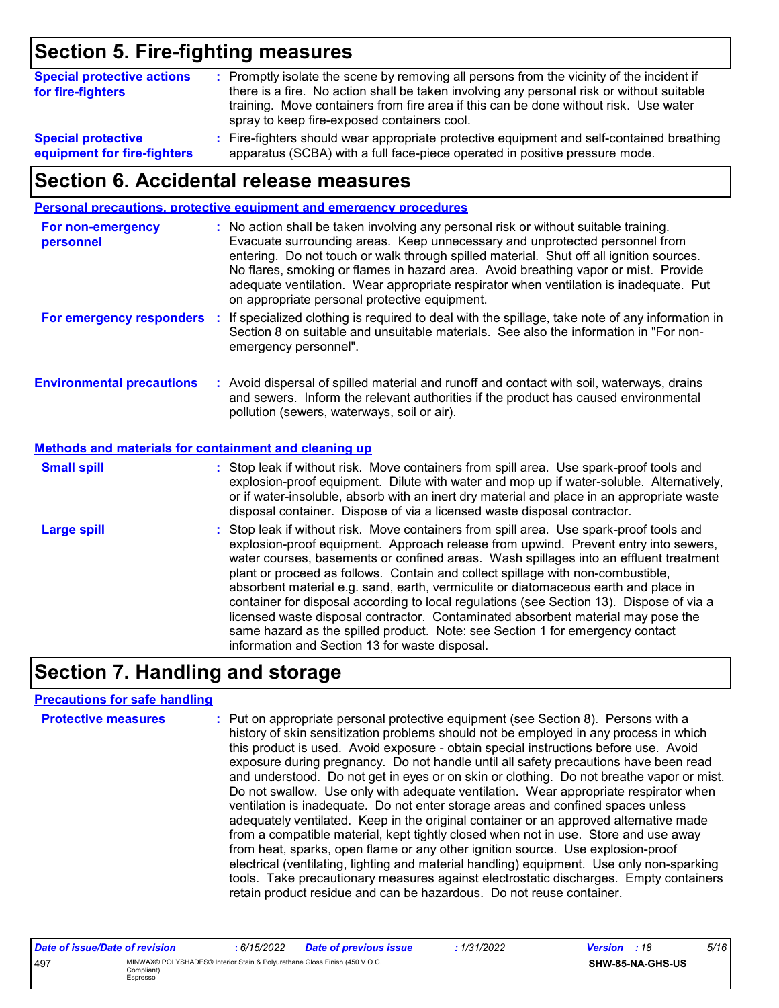## **Section 5. Fire-fighting measures**

| <b>Special protective actions</b><br>for fire-fighters | : Promptly isolate the scene by removing all persons from the vicinity of the incident if<br>there is a fire. No action shall be taken involving any personal risk or without suitable<br>training. Move containers from fire area if this can be done without risk. Use water<br>spray to keep fire-exposed containers cool. |
|--------------------------------------------------------|-------------------------------------------------------------------------------------------------------------------------------------------------------------------------------------------------------------------------------------------------------------------------------------------------------------------------------|
| <b>Special protective</b>                              | : Fire-fighters should wear appropriate protective equipment and self-contained breathing                                                                                                                                                                                                                                     |
| equipment for fire-fighters                            | apparatus (SCBA) with a full face-piece operated in positive pressure mode.                                                                                                                                                                                                                                                   |

### **Section 6. Accidental release measures**

|                                                       | Personal precautions, protective equipment and emergency procedures                                                                                                                                                                                                                                                                                                                                                                                                                                                                                                                                                                                                                                                                                                  |
|-------------------------------------------------------|----------------------------------------------------------------------------------------------------------------------------------------------------------------------------------------------------------------------------------------------------------------------------------------------------------------------------------------------------------------------------------------------------------------------------------------------------------------------------------------------------------------------------------------------------------------------------------------------------------------------------------------------------------------------------------------------------------------------------------------------------------------------|
| For non-emergency<br>personnel                        | : No action shall be taken involving any personal risk or without suitable training.<br>Evacuate surrounding areas. Keep unnecessary and unprotected personnel from<br>entering. Do not touch or walk through spilled material. Shut off all ignition sources.<br>No flares, smoking or flames in hazard area. Avoid breathing vapor or mist. Provide<br>adequate ventilation. Wear appropriate respirator when ventilation is inadequate. Put<br>on appropriate personal protective equipment.                                                                                                                                                                                                                                                                      |
| For emergency responders :                            | If specialized clothing is required to deal with the spillage, take note of any information in<br>Section 8 on suitable and unsuitable materials. See also the information in "For non-<br>emergency personnel".                                                                                                                                                                                                                                                                                                                                                                                                                                                                                                                                                     |
| <b>Environmental precautions</b>                      | : Avoid dispersal of spilled material and runoff and contact with soil, waterways, drains<br>and sewers. Inform the relevant authorities if the product has caused environmental<br>pollution (sewers, waterways, soil or air).                                                                                                                                                                                                                                                                                                                                                                                                                                                                                                                                      |
| Methods and materials for containment and cleaning up |                                                                                                                                                                                                                                                                                                                                                                                                                                                                                                                                                                                                                                                                                                                                                                      |
| <b>Small spill</b>                                    | : Stop leak if without risk. Move containers from spill area. Use spark-proof tools and<br>explosion-proof equipment. Dilute with water and mop up if water-soluble. Alternatively,<br>or if water-insoluble, absorb with an inert dry material and place in an appropriate waste<br>disposal container. Dispose of via a licensed waste disposal contractor.                                                                                                                                                                                                                                                                                                                                                                                                        |
| <b>Large spill</b>                                    | : Stop leak if without risk. Move containers from spill area. Use spark-proof tools and<br>explosion-proof equipment. Approach release from upwind. Prevent entry into sewers,<br>water courses, basements or confined areas. Wash spillages into an effluent treatment<br>plant or proceed as follows. Contain and collect spillage with non-combustible,<br>absorbent material e.g. sand, earth, vermiculite or diatomaceous earth and place in<br>container for disposal according to local regulations (see Section 13). Dispose of via a<br>licensed waste disposal contractor. Contaminated absorbent material may pose the<br>same hazard as the spilled product. Note: see Section 1 for emergency contact<br>information and Section 13 for waste disposal. |

### **Section 7. Handling and storage**

#### **Precautions for safe handling**

| <b>Protective measures</b> | : Put on appropriate personal protective equipment (see Section 8). Persons with a<br>history of skin sensitization problems should not be employed in any process in which<br>this product is used. Avoid exposure - obtain special instructions before use. Avoid<br>exposure during pregnancy. Do not handle until all safety precautions have been read<br>and understood. Do not get in eyes or on skin or clothing. Do not breathe vapor or mist.<br>Do not swallow. Use only with adequate ventilation. Wear appropriate respirator when<br>ventilation is inadequate. Do not enter storage areas and confined spaces unless<br>adequately ventilated. Keep in the original container or an approved alternative made<br>from a compatible material, kept tightly closed when not in use. Store and use away<br>from heat, sparks, open flame or any other ignition source. Use explosion-proof<br>electrical (ventilating, lighting and material handling) equipment. Use only non-sparking<br>tools. Take precautionary measures against electrostatic discharges. Empty containers |
|----------------------------|----------------------------------------------------------------------------------------------------------------------------------------------------------------------------------------------------------------------------------------------------------------------------------------------------------------------------------------------------------------------------------------------------------------------------------------------------------------------------------------------------------------------------------------------------------------------------------------------------------------------------------------------------------------------------------------------------------------------------------------------------------------------------------------------------------------------------------------------------------------------------------------------------------------------------------------------------------------------------------------------------------------------------------------------------------------------------------------------|
|                            | retain product residue and can be hazardous. Do not reuse container.                                                                                                                                                                                                                                                                                                                                                                                                                                                                                                                                                                                                                                                                                                                                                                                                                                                                                                                                                                                                                         |

| Date of issue/Date of revision |                                                                                                      | : 6/15/2022 | <b>Date of previous issue</b> | : 1/31/2022 | <b>Version</b> : 18 |                         | 5/16 |
|--------------------------------|------------------------------------------------------------------------------------------------------|-------------|-------------------------------|-------------|---------------------|-------------------------|------|
| 497                            | MINWAX® POLYSHADES® Interior Stain & Polyurethane Gloss Finish (450 V.O.C.<br>Compliant)<br>Espresso |             |                               |             |                     | <b>SHW-85-NA-GHS-US</b> |      |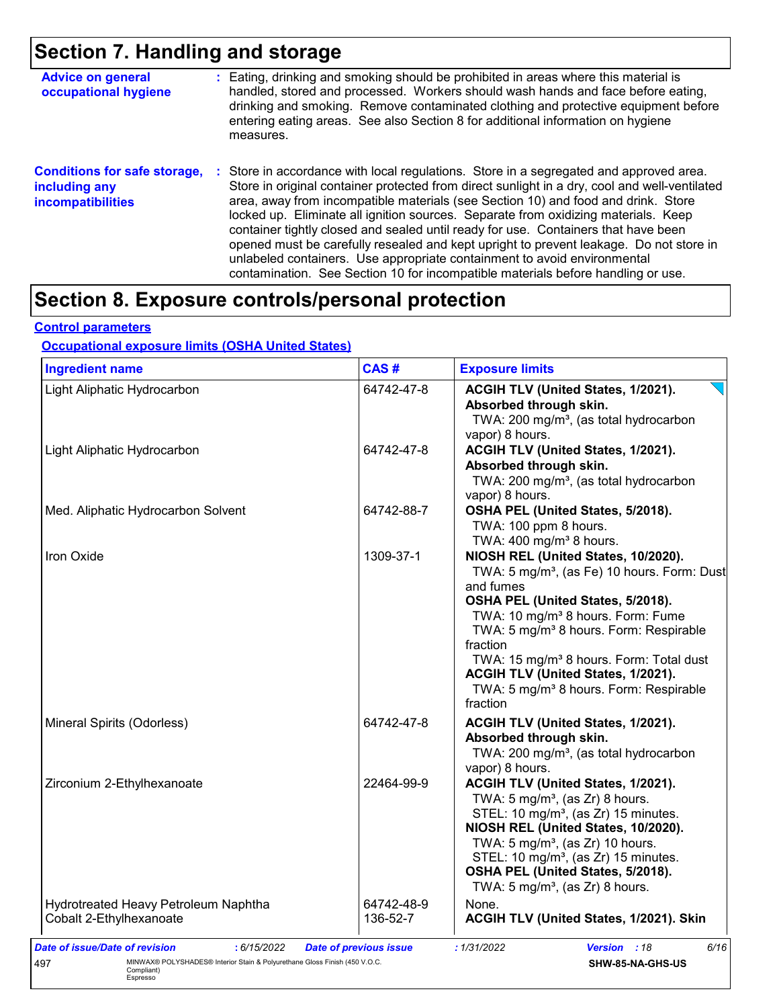### **Section 7. Handling and storage**

| <b>Advice on general</b><br>occupational hygiene                                 | : Eating, drinking and smoking should be prohibited in areas where this material is<br>handled, stored and processed. Workers should wash hands and face before eating,<br>drinking and smoking. Remove contaminated clothing and protective equipment before<br>entering eating areas. See also Section 8 for additional information on hygiene<br>measures.                                                                                                                                                                                                                                                                                                                                                      |
|----------------------------------------------------------------------------------|--------------------------------------------------------------------------------------------------------------------------------------------------------------------------------------------------------------------------------------------------------------------------------------------------------------------------------------------------------------------------------------------------------------------------------------------------------------------------------------------------------------------------------------------------------------------------------------------------------------------------------------------------------------------------------------------------------------------|
| <b>Conditions for safe storage,</b><br>including any<br><b>incompatibilities</b> | : Store in accordance with local regulations. Store in a segregated and approved area.<br>Store in original container protected from direct sunlight in a dry, cool and well-ventilated<br>area, away from incompatible materials (see Section 10) and food and drink. Store<br>locked up. Eliminate all ignition sources. Separate from oxidizing materials. Keep<br>container tightly closed and sealed until ready for use. Containers that have been<br>opened must be carefully resealed and kept upright to prevent leakage. Do not store in<br>unlabeled containers. Use appropriate containment to avoid environmental<br>contamination. See Section 10 for incompatible materials before handling or use. |

### **Section 8. Exposure controls/personal protection**

#### **Control parameters**

### **Occupational exposure limits (OSHA United States)**

| <b>Ingredient name</b>               | CAS#                   | <b>Exposure limits</b>                                                                                                                                                                                                                                                                                                                                                                                                             |
|--------------------------------------|------------------------|------------------------------------------------------------------------------------------------------------------------------------------------------------------------------------------------------------------------------------------------------------------------------------------------------------------------------------------------------------------------------------------------------------------------------------|
| Light Aliphatic Hydrocarbon          | 64742-47-8             | ACGIH TLV (United States, 1/2021).<br>Absorbed through skin.<br>TWA: 200 mg/m <sup>3</sup> , (as total hydrocarbon<br>vapor) 8 hours.                                                                                                                                                                                                                                                                                              |
| Light Aliphatic Hydrocarbon          | 64742-47-8             | ACGIH TLV (United States, 1/2021).<br>Absorbed through skin.<br>TWA: 200 mg/m <sup>3</sup> , (as total hydrocarbon<br>vapor) 8 hours.                                                                                                                                                                                                                                                                                              |
| Med. Aliphatic Hydrocarbon Solvent   | 64742-88-7             | OSHA PEL (United States, 5/2018).<br>TWA: 100 ppm 8 hours.<br>TWA: $400 \text{ mg/m}^3$ 8 hours.                                                                                                                                                                                                                                                                                                                                   |
| Iron Oxide                           | 1309-37-1              | NIOSH REL (United States, 10/2020).<br>TWA: 5 mg/m <sup>3</sup> , (as Fe) 10 hours. Form: Dust<br>and fumes<br>OSHA PEL (United States, 5/2018).<br>TWA: 10 mg/m <sup>3</sup> 8 hours. Form: Fume<br>TWA: 5 mg/m <sup>3</sup> 8 hours. Form: Respirable<br>fraction<br>TWA: 15 mg/m <sup>3</sup> 8 hours. Form: Total dust<br>ACGIH TLV (United States, 1/2021).<br>TWA: 5 mg/m <sup>3</sup> 8 hours. Form: Respirable<br>fraction |
| Mineral Spirits (Odorless)           | 64742-47-8             | ACGIH TLV (United States, 1/2021).<br>Absorbed through skin.<br>TWA: 200 mg/m <sup>3</sup> , (as total hydrocarbon<br>vapor) 8 hours.                                                                                                                                                                                                                                                                                              |
| Zirconium 2-Ethylhexanoate           | 22464-99-9             | ACGIH TLV (United States, 1/2021).<br>TWA: $5 \text{ mg/m}^3$ , (as Zr) 8 hours.<br>STEL: 10 mg/m <sup>3</sup> , (as Zr) 15 minutes.<br>NIOSH REL (United States, 10/2020).<br>TWA: $5 \text{ mg/m}^3$ , (as Zr) 10 hours.<br>STEL: 10 mg/m <sup>3</sup> , (as Zr) 15 minutes.<br>OSHA PEL (United States, 5/2018).<br>TWA: $5 \text{ mg/m}^3$ , (as Zr) 8 hours.                                                                  |
| Hydrotreated Heavy Petroleum Naphtha | 64742-48-9<br>136-52-7 | None.<br>ACGIH TLV (United States, 1/2021). Skin                                                                                                                                                                                                                                                                                                                                                                                   |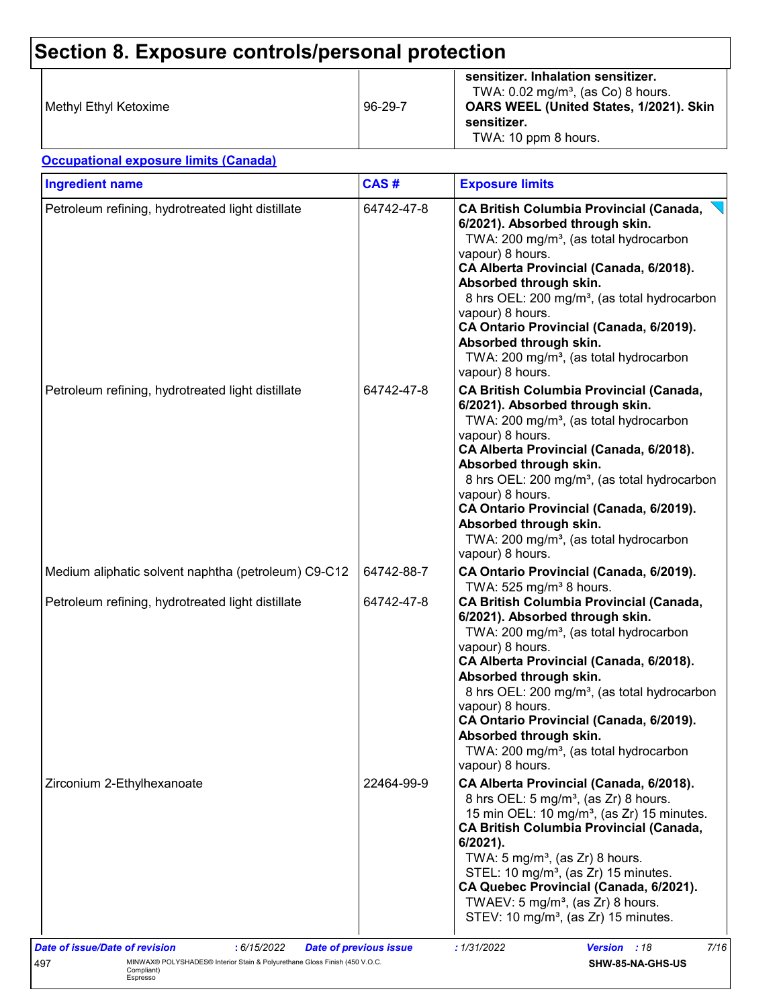## **Section 8. Exposure controls/personal protection**

| Methyl Ethyl Ketoxime | $96 - 29 - 7$ | sensitizer. Inhalation sensitizer.<br>TWA: $0.02 \text{ mg/m}^3$ , (as Co) 8 hours.<br>OARS WEEL (United States, 1/2021). Skin<br>sensitizer.<br>TWA: 10 ppm 8 hours. |
|-----------------------|---------------|-----------------------------------------------------------------------------------------------------------------------------------------------------------------------|
|-----------------------|---------------|-----------------------------------------------------------------------------------------------------------------------------------------------------------------------|

**Occupational exposure limits (Canada)**

| <b>Ingredient name</b>                              | CAS#       | <b>Exposure limits</b>                                                                                                                                                                                                                                                                                                                                                                                                                                                 |  |  |  |
|-----------------------------------------------------|------------|------------------------------------------------------------------------------------------------------------------------------------------------------------------------------------------------------------------------------------------------------------------------------------------------------------------------------------------------------------------------------------------------------------------------------------------------------------------------|--|--|--|
| Petroleum refining, hydrotreated light distillate   | 64742-47-8 | <b>CA British Columbia Provincial (Canada,</b><br>6/2021). Absorbed through skin.<br>TWA: 200 mg/m <sup>3</sup> , (as total hydrocarbon<br>vapour) 8 hours.<br>CA Alberta Provincial (Canada, 6/2018).<br>Absorbed through skin.<br>8 hrs OEL: 200 mg/m <sup>3</sup> , (as total hydrocarbon<br>vapour) 8 hours.<br>CA Ontario Provincial (Canada, 6/2019).<br>Absorbed through skin.<br>TWA: 200 mg/m <sup>3</sup> , (as total hydrocarbon<br>vapour) 8 hours.        |  |  |  |
| Petroleum refining, hydrotreated light distillate   | 64742-47-8 | <b>CA British Columbia Provincial (Canada,</b><br>6/2021). Absorbed through skin.<br>TWA: 200 mg/m <sup>3</sup> , (as total hydrocarbon<br>vapour) 8 hours.<br>CA Alberta Provincial (Canada, 6/2018).<br>Absorbed through skin.<br>8 hrs OEL: 200 mg/m <sup>3</sup> , (as total hydrocarbon<br>vapour) 8 hours.<br>CA Ontario Provincial (Canada, 6/2019).<br>Absorbed through skin.<br>TWA: 200 mg/m <sup>3</sup> , (as total hydrocarbon<br>vapour) 8 hours.        |  |  |  |
| Medium aliphatic solvent naphtha (petroleum) C9-C12 | 64742-88-7 | CA Ontario Provincial (Canada, 6/2019).<br>TWA: 525 mg/m <sup>3</sup> 8 hours.                                                                                                                                                                                                                                                                                                                                                                                         |  |  |  |
| Petroleum refining, hydrotreated light distillate   | 64742-47-8 | <b>CA British Columbia Provincial (Canada,</b><br>6/2021). Absorbed through skin.<br>TWA: 200 mg/m <sup>3</sup> , (as total hydrocarbon<br>vapour) 8 hours.<br>CA Alberta Provincial (Canada, 6/2018).<br>Absorbed through skin.<br>8 hrs OEL: 200 mg/m <sup>3</sup> , (as total hydrocarbon<br>vapour) 8 hours.<br>CA Ontario Provincial (Canada, 6/2019).<br>Absorbed through skin.<br>TWA: 200 mg/m <sup>3</sup> , (as total hydrocarbon<br>vapour) 8 hours.        |  |  |  |
| Zirconium 2-Ethylhexanoate                          | 22464-99-9 | CA Alberta Provincial (Canada, 6/2018).<br>8 hrs OEL: 5 mg/m <sup>3</sup> , (as Zr) 8 hours.<br>15 min OEL: 10 mg/m <sup>3</sup> , (as Zr) 15 minutes.<br><b>CA British Columbia Provincial (Canada,</b><br>6/2021).<br>TWA: 5 mg/m <sup>3</sup> , (as Zr) 8 hours.<br>STEL: 10 mg/m <sup>3</sup> , (as Zr) 15 minutes.<br>CA Quebec Provincial (Canada, 6/2021).<br>TWAEV: 5 mg/m <sup>3</sup> , (as Zr) 8 hours.<br>STEV: 10 mg/m <sup>3</sup> , (as Zr) 15 minutes. |  |  |  |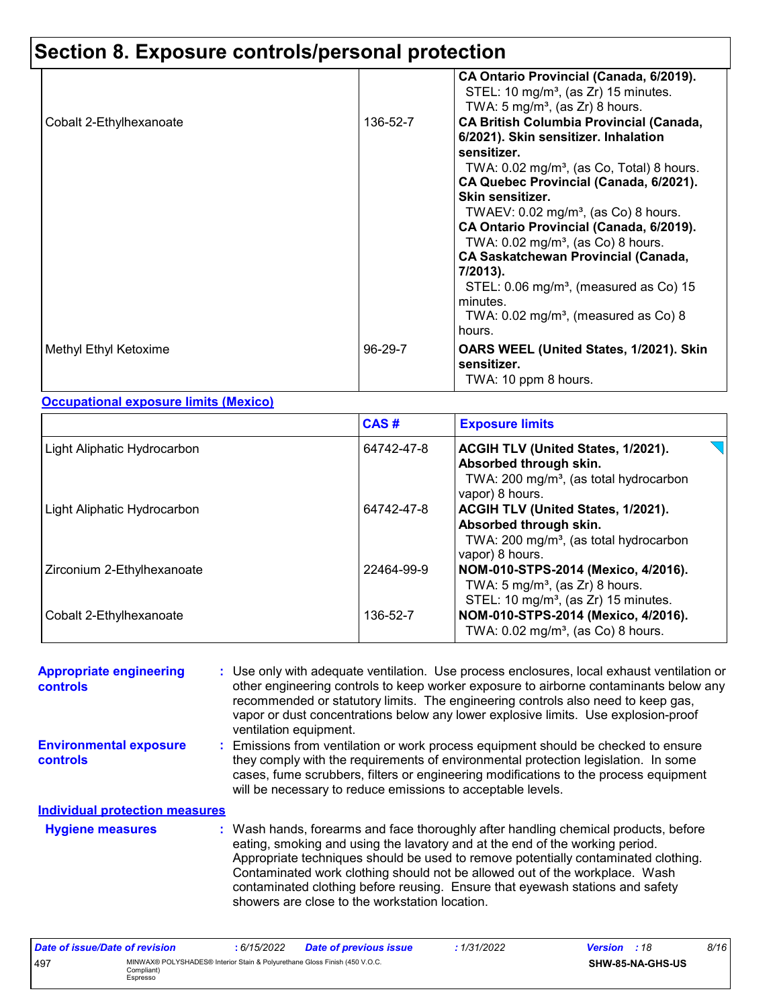## **Section 8. Exposure controls/personal protection**

|                         |          | CA Ontario Provincial (Canada, 6/2019).<br>STEL: 10 mg/m <sup>3</sup> , (as Zr) 15 minutes.<br>TWA: 5 mg/m <sup>3</sup> , (as Zr) 8 hours.                                                                                                                                                                                                                                                                                                                                                                |
|-------------------------|----------|-----------------------------------------------------------------------------------------------------------------------------------------------------------------------------------------------------------------------------------------------------------------------------------------------------------------------------------------------------------------------------------------------------------------------------------------------------------------------------------------------------------|
| Cobalt 2-Ethylhexanoate | 136-52-7 | <b>CA British Columbia Provincial (Canada,</b><br>6/2021). Skin sensitizer. Inhalation<br>sensitizer.<br>TWA: 0.02 mg/m <sup>3</sup> , (as Co, Total) 8 hours.<br>CA Quebec Provincial (Canada, 6/2021).<br>Skin sensitizer.<br>TWAEV: $0.02 \text{ mg/m}^3$ , (as Co) 8 hours.<br>CA Ontario Provincial (Canada, 6/2019).<br>TWA: $0.02 \text{ mg/m}^3$ , (as Co) 8 hours.<br><b>CA Saskatchewan Provincial (Canada,</b><br>7/2013).<br>STEL: $0.06$ mg/m <sup>3</sup> , (measured as Co) 15<br>minutes. |
|                         |          | TWA: $0.02$ mg/m <sup>3</sup> , (measured as Co) 8<br>hours.                                                                                                                                                                                                                                                                                                                                                                                                                                              |
| Methyl Ethyl Ketoxime   | 96-29-7  | OARS WEEL (United States, 1/2021). Skin<br>sensitizer.<br>TWA: 10 ppm 8 hours.                                                                                                                                                                                                                                                                                                                                                                                                                            |

**Occupational exposure limits (Mexico)**

|                             | CAS#       | <b>Exposure limits</b>                                                                                                                |
|-----------------------------|------------|---------------------------------------------------------------------------------------------------------------------------------------|
| Light Aliphatic Hydrocarbon | 64742-47-8 | ACGIH TLV (United States, 1/2021).<br>Absorbed through skin.<br>TWA: 200 mg/m <sup>3</sup> , (as total hydrocarbon<br>vapor) 8 hours. |
| Light Aliphatic Hydrocarbon | 64742-47-8 | ACGIH TLV (United States, 1/2021).<br>Absorbed through skin.<br>TWA: 200 mg/m <sup>3</sup> , (as total hydrocarbon<br>vapor) 8 hours. |
| Zirconium 2-Ethylhexanoate  | 22464-99-9 | NOM-010-STPS-2014 (Mexico, 4/2016).<br>TWA: $5 \text{ mg/m}^3$ , (as Zr) 8 hours.<br>STEL: 10 mg/m <sup>3</sup> , (as Zr) 15 minutes. |
| Cobalt 2-Ethylhexanoate     | 136-52-7   | NOM-010-STPS-2014 (Mexico, 4/2016).<br>TWA: 0.02 mg/m <sup>3</sup> , (as Co) 8 hours.                                                 |

| <b>Appropriate engineering</b><br><b>controls</b> | : Use only with adequate ventilation. Use process enclosures, local exhaust ventilation or<br>other engineering controls to keep worker exposure to airborne contaminants below any<br>recommended or statutory limits. The engineering controls also need to keep gas,<br>vapor or dust concentrations below any lower explosive limits. Use explosion-proof<br>ventilation equipment. |
|---------------------------------------------------|-----------------------------------------------------------------------------------------------------------------------------------------------------------------------------------------------------------------------------------------------------------------------------------------------------------------------------------------------------------------------------------------|
| <b>Environmental exposure</b><br><b>controls</b>  | : Emissions from ventilation or work process equipment should be checked to ensure<br>they comply with the requirements of environmental protection legislation. In some<br>cases, fume scrubbers, filters or engineering modifications to the process equipment<br>will be necessary to reduce emissions to acceptable levels.                                                         |
| <b>Individual protection measures</b>             |                                                                                                                                                                                                                                                                                                                                                                                         |
| <b>Hygiene measures</b>                           | : Wash hands, forearms and face thoroughly after handling chemical products, before<br>equipped particle in the layer of the and of the working period                                                                                                                                                                                                                                  |

| <u>iyyiviiv ilivuvul vu</u> | , washinding, iorodinio dha race thoroughly ditor handling chomodi producto, borore |
|-----------------------------|-------------------------------------------------------------------------------------|
|                             | eating, smoking and using the lavatory and at the end of the working period.        |
|                             | Appropriate techniques should be used to remove potentially contaminated clothing.  |
|                             | Contaminated work clothing should not be allowed out of the workplace. Wash         |
|                             | contaminated clothing before reusing. Ensure that eyewash stations and safety       |
|                             | showers are close to the workstation location.                                      |
|                             |                                                                                     |

| Date of issue/Date of revision |                                                                                                      | : 6/15/2022 | <b>Date of previous issue</b> | : 1/31/2022 | <b>Version</b> : 18 |                  | 8/16 |
|--------------------------------|------------------------------------------------------------------------------------------------------|-------------|-------------------------------|-------------|---------------------|------------------|------|
| 497                            | MINWAX® POLYSHADES® Interior Stain & Polyurethane Gloss Finish (450 V.O.C.<br>Compliant)<br>Espresso |             |                               |             |                     | SHW-85-NA-GHS-US |      |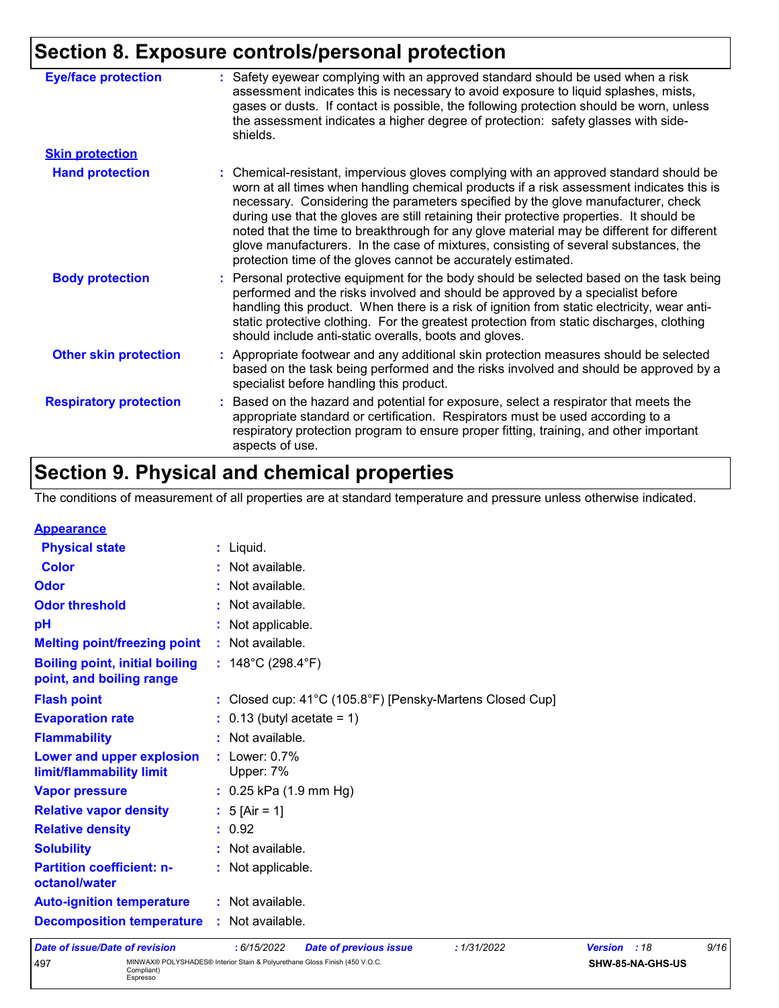### **Section 8. Exposure controls/personal protection**

| <b>Eye/face protection</b>    | : Safety eyewear complying with an approved standard should be used when a risk<br>assessment indicates this is necessary to avoid exposure to liquid splashes, mists,<br>gases or dusts. If contact is possible, the following protection should be worn, unless<br>the assessment indicates a higher degree of protection: safety glasses with side-<br>shields.                                                                                                                                                                                                                                                     |
|-------------------------------|------------------------------------------------------------------------------------------------------------------------------------------------------------------------------------------------------------------------------------------------------------------------------------------------------------------------------------------------------------------------------------------------------------------------------------------------------------------------------------------------------------------------------------------------------------------------------------------------------------------------|
| <b>Skin protection</b>        |                                                                                                                                                                                                                                                                                                                                                                                                                                                                                                                                                                                                                        |
| <b>Hand protection</b>        | : Chemical-resistant, impervious gloves complying with an approved standard should be<br>worn at all times when handling chemical products if a risk assessment indicates this is<br>necessary. Considering the parameters specified by the glove manufacturer, check<br>during use that the gloves are still retaining their protective properties. It should be<br>noted that the time to breakthrough for any glove material may be different for different<br>glove manufacturers. In the case of mixtures, consisting of several substances, the<br>protection time of the gloves cannot be accurately estimated. |
| <b>Body protection</b>        | : Personal protective equipment for the body should be selected based on the task being<br>performed and the risks involved and should be approved by a specialist before<br>handling this product. When there is a risk of ignition from static electricity, wear anti-<br>static protective clothing. For the greatest protection from static discharges, clothing<br>should include anti-static overalls, boots and gloves.                                                                                                                                                                                         |
| <b>Other skin protection</b>  | : Appropriate footwear and any additional skin protection measures should be selected<br>based on the task being performed and the risks involved and should be approved by a<br>specialist before handling this product.                                                                                                                                                                                                                                                                                                                                                                                              |
| <b>Respiratory protection</b> | : Based on the hazard and potential for exposure, select a respirator that meets the<br>appropriate standard or certification. Respirators must be used according to a<br>respiratory protection program to ensure proper fitting, training, and other important<br>aspects of use.                                                                                                                                                                                                                                                                                                                                    |

### **Section 9. Physical and chemical properties**

The conditions of measurement of all properties are at standard temperature and pressure unless otherwise indicated.

| <b>Date of issue/Date of revision</b>                             | : 6/15/2022<br><b>Date of previous issue</b><br>: 1/31/2022 | <b>Version</b> | :18 | 9/16 |
|-------------------------------------------------------------------|-------------------------------------------------------------|----------------|-----|------|
| <b>Decomposition temperature</b>                                  | : Not available.                                            |                |     |      |
| <b>Auto-ignition temperature</b>                                  | : Not available.                                            |                |     |      |
| <b>Partition coefficient: n-</b><br>octanol/water                 | : Not applicable.                                           |                |     |      |
| <b>Solubility</b>                                                 | : Not available.                                            |                |     |      |
| <b>Relative density</b>                                           | : 0.92                                                      |                |     |      |
| <b>Relative vapor density</b>                                     | : $5$ [Air = 1]                                             |                |     |      |
| <b>Vapor pressure</b>                                             | $: 0.25$ kPa (1.9 mm Hg)                                    |                |     |      |
| Lower and upper explosion<br>limit/flammability limit             | $:$ Lower: $0.7\%$<br>Upper: 7%                             |                |     |      |
| <b>Flammability</b>                                               | : Not available.                                            |                |     |      |
| <b>Evaporation rate</b>                                           | $\therefore$ 0.13 (butyl acetate = 1)                       |                |     |      |
| <b>Flash point</b>                                                | : Closed cup: 41°C (105.8°F) [Pensky-Martens Closed Cup]    |                |     |      |
| <b>Boiling point, initial boiling</b><br>point, and boiling range | : $148^{\circ}$ C (298.4 $^{\circ}$ F)                      |                |     |      |
| <b>Melting point/freezing point</b>                               | : Not available.                                            |                |     |      |
| рH                                                                | : Not applicable.                                           |                |     |      |
| <b>Odor threshold</b>                                             | : Not available.                                            |                |     |      |
| <b>Odor</b>                                                       | : Not available.                                            |                |     |      |
| <b>Color</b>                                                      | : Not available.                                            |                |     |      |
| <b>Physical state</b>                                             | : Liquid.                                                   |                |     |      |
| <b>Appearance</b>                                                 |                                                             |                |     |      |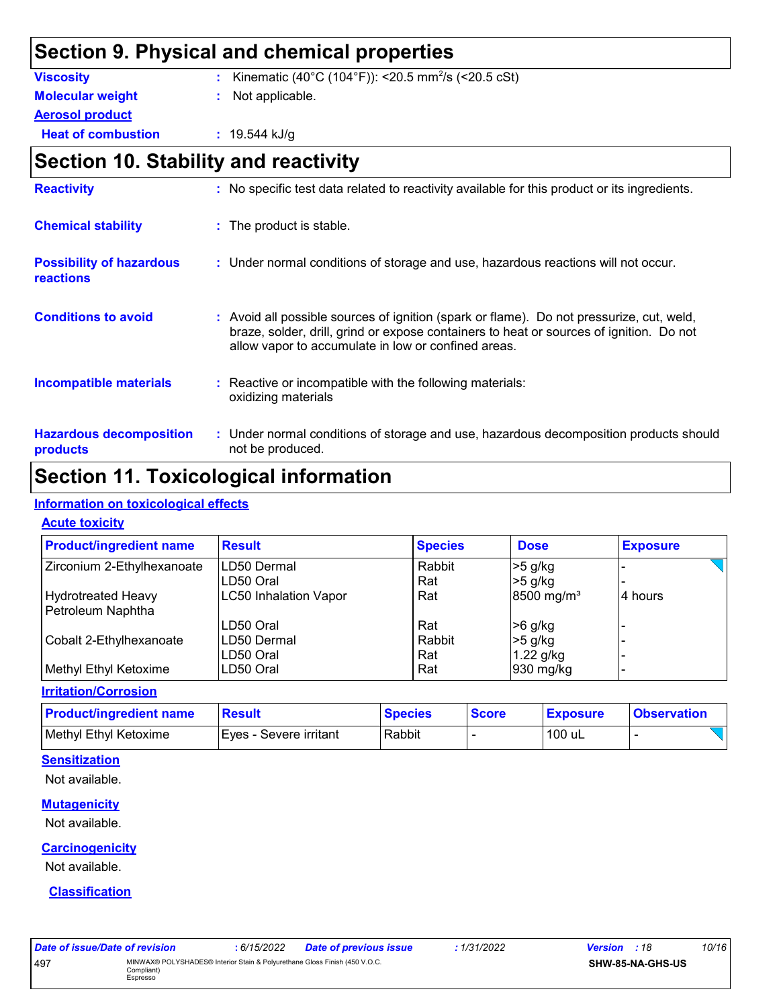### **Section 9. Physical and chemical properties**

| <b>Viscosity</b>          | : Kinematic (40°C (104°F)): <20.5 mm <sup>2</sup> /s (<20.5 cSt) |
|---------------------------|------------------------------------------------------------------|
| <b>Molecular weight</b>   | : Not applicable.                                                |
| <b>Aerosol product</b>    |                                                                  |
| <b>Heat of combustion</b> | $: 19.544$ kJ/g                                                  |
|                           |                                                                  |

### **Section 10. Stability and reactivity**

| <b>Reactivity</b>                                   | : No specific test data related to reactivity available for this product or its ingredients.                                                                                                                                               |
|-----------------------------------------------------|--------------------------------------------------------------------------------------------------------------------------------------------------------------------------------------------------------------------------------------------|
| <b>Chemical stability</b>                           | : The product is stable.                                                                                                                                                                                                                   |
| <b>Possibility of hazardous</b><br><b>reactions</b> | : Under normal conditions of storage and use, hazardous reactions will not occur.                                                                                                                                                          |
| <b>Conditions to avoid</b>                          | : Avoid all possible sources of ignition (spark or flame). Do not pressurize, cut, weld,<br>braze, solder, drill, grind or expose containers to heat or sources of ignition. Do not<br>allow vapor to accumulate in low or confined areas. |
| <b>Incompatible materials</b>                       | : Reactive or incompatible with the following materials:<br>oxidizing materials                                                                                                                                                            |
| <b>Hazardous decomposition</b><br>products          | : Under normal conditions of storage and use, hazardous decomposition products should<br>not be produced.                                                                                                                                  |

### **Section 11. Toxicological information**

#### **Information on toxicological effects**

| <b>Acute toxicity</b> |
|-----------------------|
|-----------------------|

| <b>Product/ingredient name</b> | <b>Result</b>                | <b>Species</b> | <b>Dose</b>              | <b>Exposure</b> |
|--------------------------------|------------------------------|----------------|--------------------------|-----------------|
| Zirconium 2-Ethylhexanoate     | ILD50 Dermal                 | Rabbit         | $>5$ g/kg                |                 |
|                                | LD50 Oral                    | Rat            | $>5$ g/kg                |                 |
| <b>Hydrotreated Heavy</b>      | <b>LC50 Inhalation Vapor</b> | Rat            | $8500$ mg/m <sup>3</sup> | 4 hours         |
| Petroleum Naphtha              |                              |                |                          |                 |
|                                | LD50 Oral                    | Rat            | $>6$ g/kg                |                 |
| Cobalt 2-Ethylhexanoate        | LD50 Dermal                  | Rabbit         | $>5$ g/kg                |                 |
|                                | LD50 Oral                    | Rat            | $1.22$ g/kg              |                 |
| Methyl Ethyl Ketoxime          | LD50 Oral                    | Rat            | 930 mg/kg                |                 |

**Irritation/Corrosion**

| <b>Product/ingredient name</b> | Result                  | <b>Species</b> | <b>Score</b> | <b>Exposure</b> | <b>Observation</b> |
|--------------------------------|-------------------------|----------------|--------------|-----------------|--------------------|
| Methyl Ethyl Ketoxime          | IEves - Severe irritant | Rabbit         |              | 100 uL          |                    |

#### **Sensitization**

Not available.

#### **Mutagenicity**

Not available.

#### **Carcinogenicity**

Not available.

#### **Classification**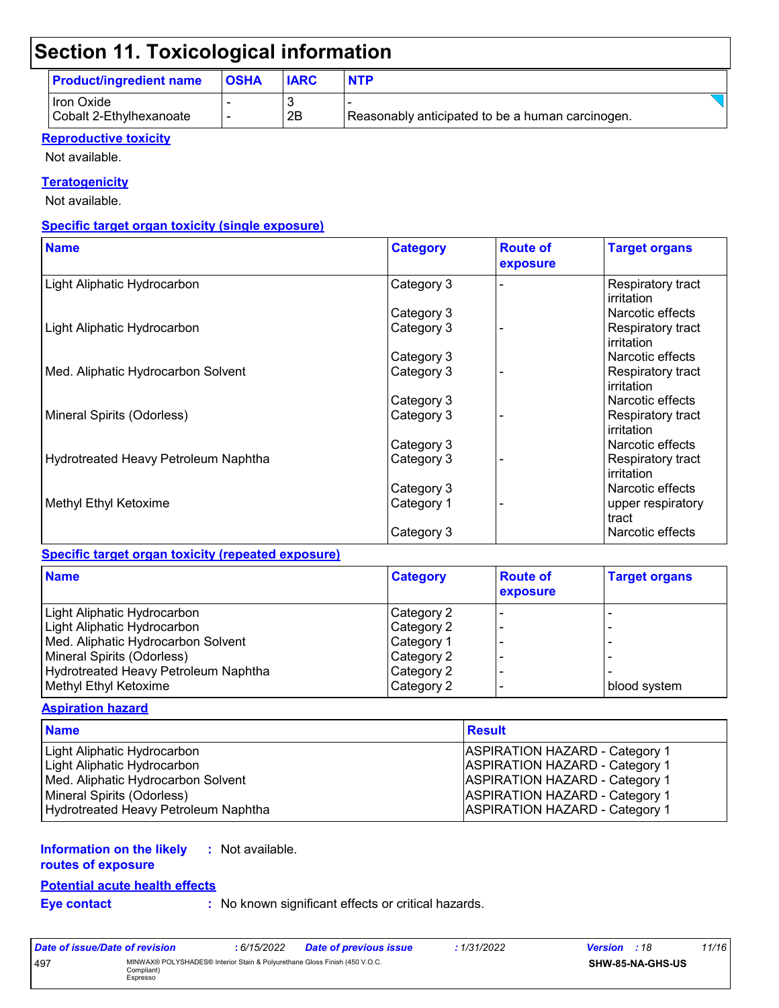### **Section 11. Toxicological information**

| <b>Product/ingredient name</b>        | <b>OSHA</b> | <b>IARC</b> | <b>NTP</b>                                       |  |
|---------------------------------------|-------------|-------------|--------------------------------------------------|--|
| Hron Oxide<br>Cobalt 2-Ethylhexanoate |             | 2B          | Reasonably anticipated to be a human carcinogen. |  |

#### **Reproductive toxicity**

Not available.

#### **Teratogenicity**

Not available.

#### **Specific target organ toxicity (single exposure)**

| <b>Name</b>                          | <b>Category</b> | <b>Route of</b><br>exposure | <b>Target organs</b>            |
|--------------------------------------|-----------------|-----------------------------|---------------------------------|
| Light Aliphatic Hydrocarbon          | Category 3      |                             | Respiratory tract<br>irritation |
|                                      | Category 3      |                             | Narcotic effects                |
| Light Aliphatic Hydrocarbon          | Category 3      |                             | Respiratory tract<br>irritation |
|                                      | Category 3      |                             | Narcotic effects                |
| Med. Aliphatic Hydrocarbon Solvent   | Category 3      |                             | Respiratory tract<br>irritation |
|                                      | Category 3      |                             | Narcotic effects                |
| Mineral Spirits (Odorless)           | Category 3      |                             | Respiratory tract<br>irritation |
|                                      | Category 3      |                             | Narcotic effects                |
| Hydrotreated Heavy Petroleum Naphtha | Category 3      |                             | Respiratory tract<br>irritation |
|                                      | Category 3      |                             | Narcotic effects                |
| Methyl Ethyl Ketoxime                | Category 1      |                             | upper respiratory<br>tract      |
|                                      | Category 3      |                             | Narcotic effects                |

#### **Specific target organ toxicity (repeated exposure)**

| <b>Name</b>                          | <b>Category</b> | <b>Route of</b><br>exposure | <b>Target organs</b> |
|--------------------------------------|-----------------|-----------------------------|----------------------|
| Light Aliphatic Hydrocarbon          | Category 2      |                             |                      |
| Light Aliphatic Hydrocarbon          | Category 2      |                             |                      |
| Med. Aliphatic Hydrocarbon Solvent   | Category 1      |                             |                      |
| Mineral Spirits (Odorless)           | Category 2      |                             |                      |
| Hydrotreated Heavy Petroleum Naphtha | Category 2      |                             |                      |
| Methyl Ethyl Ketoxime                | Category 2      |                             | blood system         |

#### **Aspiration hazard**

| <b>Name</b>                          | <b>Result</b>                         |
|--------------------------------------|---------------------------------------|
| Light Aliphatic Hydrocarbon          | <b>ASPIRATION HAZARD - Category 1</b> |
| Light Aliphatic Hydrocarbon          | <b>ASPIRATION HAZARD - Category 1</b> |
| Med. Aliphatic Hydrocarbon Solvent   | <b>ASPIRATION HAZARD - Category 1</b> |
| Mineral Spirits (Odorless)           | <b>ASPIRATION HAZARD - Category 1</b> |
| Hydrotreated Heavy Petroleum Naphtha | <b>ASPIRATION HAZARD - Category 1</b> |

#### **Information on the likely :** Not available.

**routes of exposure**

#### **Eye contact :** No known significant effects or critical hazards. **Potential acute health effects**

| Date of issue/Date of revision                                                                              |  | : 6/15/2022 | <b>Date of previous issue</b> | : 1/31/2022 | <b>Version</b> : 18 | 11/16 |
|-------------------------------------------------------------------------------------------------------------|--|-------------|-------------------------------|-------------|---------------------|-------|
| MINWAX® POLYSHADES® Interior Stain & Polyurethane Gloss Finish (450 V.O.C.<br>497<br>Compliant)<br>Espresso |  |             | <b>SHW-85-NA-GHS-US</b>       |             |                     |       |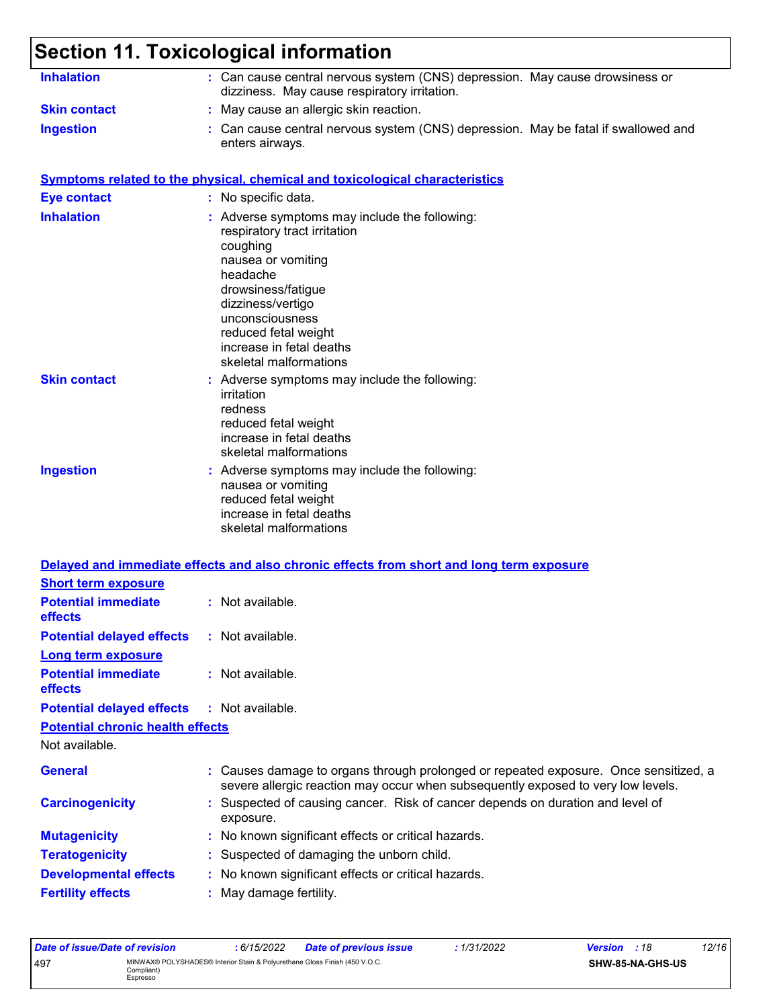# **Section 11. Toxicological information**

| <b>Inhalation</b>                       | : Can cause central nervous system (CNS) depression. May cause drowsiness or<br>dizziness. May cause respiratory irritation.                                                                                                                                            |  |  |  |  |  |
|-----------------------------------------|-------------------------------------------------------------------------------------------------------------------------------------------------------------------------------------------------------------------------------------------------------------------------|--|--|--|--|--|
| <b>Skin contact</b>                     | : May cause an allergic skin reaction.                                                                                                                                                                                                                                  |  |  |  |  |  |
| <b>Ingestion</b>                        | : Can cause central nervous system (CNS) depression. May be fatal if swallowed and<br>enters airways.                                                                                                                                                                   |  |  |  |  |  |
|                                         | <b>Symptoms related to the physical, chemical and toxicological characteristics</b>                                                                                                                                                                                     |  |  |  |  |  |
| <b>Eye contact</b>                      | : No specific data.                                                                                                                                                                                                                                                     |  |  |  |  |  |
| <b>Inhalation</b>                       | : Adverse symptoms may include the following:<br>respiratory tract irritation<br>coughing<br>nausea or vomiting<br>headache<br>drowsiness/fatigue<br>dizziness/vertigo<br>unconsciousness<br>reduced fetal weight<br>increase in fetal deaths<br>skeletal malformations |  |  |  |  |  |
| <b>Skin contact</b>                     | : Adverse symptoms may include the following:<br>irritation<br>redness<br>reduced fetal weight<br>increase in fetal deaths<br>skeletal malformations                                                                                                                    |  |  |  |  |  |
| <b>Ingestion</b>                        | : Adverse symptoms may include the following:<br>nausea or vomiting<br>reduced fetal weight<br>increase in fetal deaths<br>skeletal malformations                                                                                                                       |  |  |  |  |  |
|                                         | Delayed and immediate effects and also chronic effects from short and long term exposure                                                                                                                                                                                |  |  |  |  |  |
| <b>Short term exposure</b>              |                                                                                                                                                                                                                                                                         |  |  |  |  |  |
| <b>Potential immediate</b><br>effects   | : Not available.                                                                                                                                                                                                                                                        |  |  |  |  |  |
| <b>Potential delayed effects</b>        | : Not available.                                                                                                                                                                                                                                                        |  |  |  |  |  |
| <b>Long term exposure</b>               |                                                                                                                                                                                                                                                                         |  |  |  |  |  |
| <b>Potential immediate</b><br>effects   | : Not available.                                                                                                                                                                                                                                                        |  |  |  |  |  |
| <b>Potential delayed effects</b>        | : Not available.                                                                                                                                                                                                                                                        |  |  |  |  |  |
| <b>Potential chronic health effects</b> |                                                                                                                                                                                                                                                                         |  |  |  |  |  |
| Not available.                          |                                                                                                                                                                                                                                                                         |  |  |  |  |  |
| <b>General</b>                          | : Causes damage to organs through prolonged or repeated exposure. Once sensitized, a<br>severe allergic reaction may occur when subsequently exposed to very low levels.                                                                                                |  |  |  |  |  |
| <b>Carcinogenicity</b>                  | : Suspected of causing cancer. Risk of cancer depends on duration and level of<br>exposure.                                                                                                                                                                             |  |  |  |  |  |
| <b>Mutagenicity</b>                     | : No known significant effects or critical hazards.                                                                                                                                                                                                                     |  |  |  |  |  |
| <b>Teratogenicity</b>                   | : Suspected of damaging the unborn child.                                                                                                                                                                                                                               |  |  |  |  |  |
| <b>Developmental effects</b>            | : No known significant effects or critical hazards.                                                                                                                                                                                                                     |  |  |  |  |  |
| <b>Fertility effects</b>                | : May damage fertility.                                                                                                                                                                                                                                                 |  |  |  |  |  |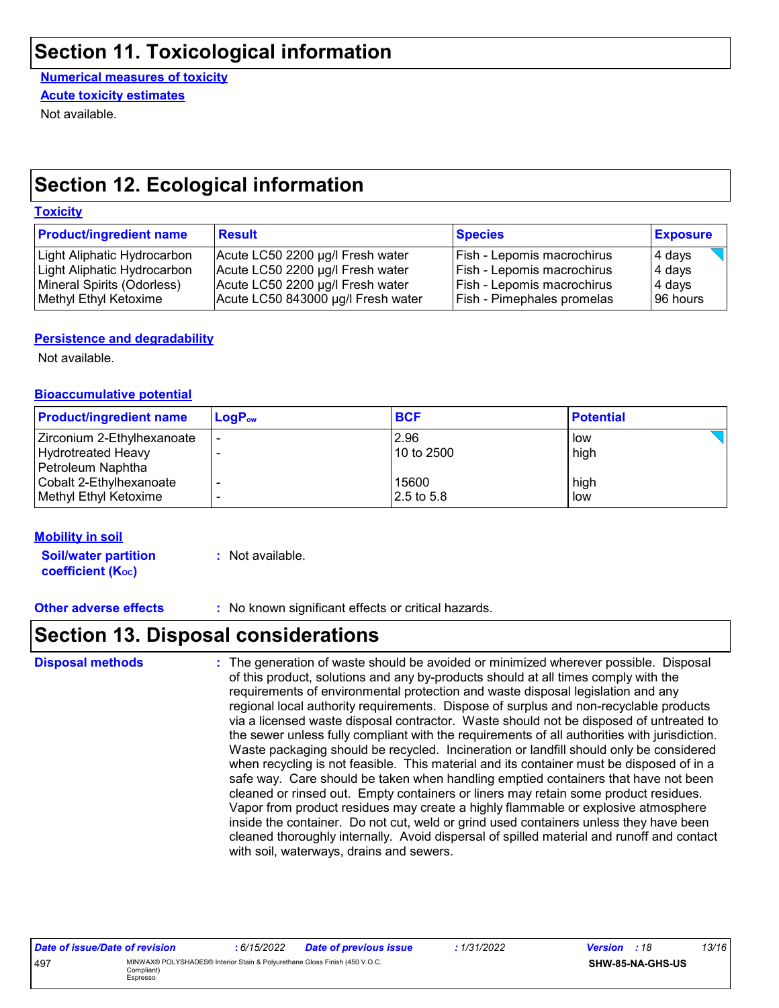### **Section 11. Toxicological information**

**Numerical measures of toxicity** Not available. **Acute toxicity estimates**

### **Section 12. Ecological information**

#### **Toxicity**

| <b>Product/ingredient name</b> | <b>Result</b>                      | <b>Species</b>                    | <b>Exposure</b> |
|--------------------------------|------------------------------------|-----------------------------------|-----------------|
| Light Aliphatic Hydrocarbon    | Acute LC50 2200 µg/l Fresh water   | <b>Fish - Lepomis macrochirus</b> | 4 days          |
| Light Aliphatic Hydrocarbon    | Acute LC50 2200 µg/l Fresh water   | <b>Fish - Lepomis macrochirus</b> | 4 days          |
| Mineral Spirits (Odorless)     | Acute LC50 2200 µg/l Fresh water   | <b>Fish - Lepomis macrochirus</b> | 4 days          |
| Methyl Ethyl Ketoxime          | Acute LC50 843000 µg/l Fresh water | <b>Fish - Pimephales promelas</b> | 196 hours       |

#### **Persistence and degradability**

Not available.

#### **Bioaccumulative potential**

| <b>Product/ingredient name</b> | $LogP_{ow}$ | <b>BCF</b> | <b>Potential</b> |
|--------------------------------|-------------|------------|------------------|
| Zirconium 2-Ethylhexanoate     | -           | 2.96       | low              |
| Hydrotreated Heavy             |             | 10 to 2500 | high             |
| Petroleum Naphtha              |             |            |                  |
| Cobalt 2-Ethylhexanoate        |             | 15600      | high             |
| Methyl Ethyl Ketoxime          |             | 2.5 to 5.8 | low              |

#### **Mobility in soil**

**Soil/water partition coefficient (KOC) :** Not available.

**Other adverse effects :** No known significant effects or critical hazards.

### **Section 13. Disposal considerations**

The generation of waste should be avoided or minimized wherever possible. Disposal of this product, solutions and any by-products should at all times comply with the requirements of environmental protection and waste disposal legislation and any regional local authority requirements. Dispose of surplus and non-recyclable products via a licensed waste disposal contractor. Waste should not be disposed of untreated to the sewer unless fully compliant with the requirements of all authorities with jurisdiction. Waste packaging should be recycled. Incineration or landfill should only be considered when recycling is not feasible. This material and its container must be disposed of in a safe way. Care should be taken when handling emptied containers that have not been cleaned or rinsed out. Empty containers or liners may retain some product residues. Vapor from product residues may create a highly flammable or explosive atmosphere inside the container. Do not cut, weld or grind used containers unless they have been cleaned thoroughly internally. Avoid dispersal of spilled material and runoff and contact with soil, waterways, drains and sewers. **Disposal methods :**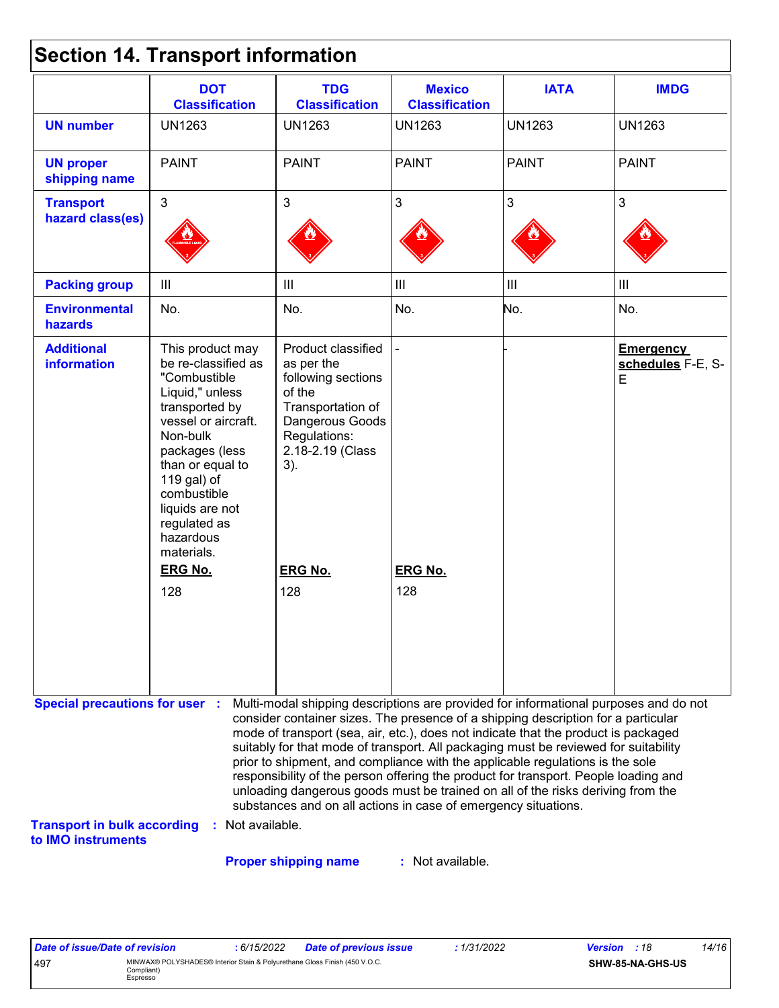|  | <b>Section 14. Transport information</b> |  |
|--|------------------------------------------|--|
|--|------------------------------------------|--|

|                                                                                                   | <b>DOT</b><br><b>Classification</b>                                                                                                                                                                                                                               | <b>TDG</b><br><b>Classification</b>                                                                                                                                                                                                                                                                                                                                                                                                                                                                                                                                                                                                                                                 | <b>Mexico</b><br><b>Classification</b> | <b>IATA</b>        | <b>IMDG</b>                                 |
|---------------------------------------------------------------------------------------------------|-------------------------------------------------------------------------------------------------------------------------------------------------------------------------------------------------------------------------------------------------------------------|-------------------------------------------------------------------------------------------------------------------------------------------------------------------------------------------------------------------------------------------------------------------------------------------------------------------------------------------------------------------------------------------------------------------------------------------------------------------------------------------------------------------------------------------------------------------------------------------------------------------------------------------------------------------------------------|----------------------------------------|--------------------|---------------------------------------------|
| <b>UN number</b>                                                                                  | <b>UN1263</b>                                                                                                                                                                                                                                                     | <b>UN1263</b>                                                                                                                                                                                                                                                                                                                                                                                                                                                                                                                                                                                                                                                                       | <b>UN1263</b>                          | <b>UN1263</b>      | <b>UN1263</b>                               |
| <b>UN proper</b><br>shipping name                                                                 | <b>PAINT</b>                                                                                                                                                                                                                                                      | <b>PAINT</b>                                                                                                                                                                                                                                                                                                                                                                                                                                                                                                                                                                                                                                                                        | <b>PAINT</b>                           | <b>PAINT</b>       | <b>PAINT</b>                                |
| <b>Transport</b><br>hazard class(es)                                                              | 3                                                                                                                                                                                                                                                                 | $\mathbf{3}$                                                                                                                                                                                                                                                                                                                                                                                                                                                                                                                                                                                                                                                                        | $\mathfrak{S}$                         | 3                  | 3                                           |
| <b>Packing group</b>                                                                              | $\mathbf{III}$                                                                                                                                                                                                                                                    | $\begin{array}{c} \hline \end{array}$                                                                                                                                                                                                                                                                                                                                                                                                                                                                                                                                                                                                                                               | $\mathop{\rm III}$                     | $\mathop{\rm III}$ | III                                         |
| <b>Environmental</b><br>hazards                                                                   | No.                                                                                                                                                                                                                                                               | No.                                                                                                                                                                                                                                                                                                                                                                                                                                                                                                                                                                                                                                                                                 | No.                                    | No.                | No.                                         |
| <b>Additional</b><br><b>information</b>                                                           | This product may<br>be re-classified as<br>"Combustible<br>Liquid," unless<br>transported by<br>vessel or aircraft.<br>Non-bulk<br>packages (less<br>than or equal to<br>119 gal) of<br>combustible<br>liquids are not<br>regulated as<br>hazardous<br>materials. | Product classified<br>as per the<br>following sections<br>of the<br>Transportation of<br>Dangerous Goods<br>Regulations:<br>2.18-2.19 (Class<br>$3)$ .                                                                                                                                                                                                                                                                                                                                                                                                                                                                                                                              |                                        |                    | <b>Emergency</b><br>schedules F-E, S-<br>E. |
|                                                                                                   | <b>ERG No.</b>                                                                                                                                                                                                                                                    | <b>ERG No.</b>                                                                                                                                                                                                                                                                                                                                                                                                                                                                                                                                                                                                                                                                      | <b>ERG No.</b>                         |                    |                                             |
|                                                                                                   | 128                                                                                                                                                                                                                                                               | 128                                                                                                                                                                                                                                                                                                                                                                                                                                                                                                                                                                                                                                                                                 | 128                                    |                    |                                             |
| <b>Special precautions for user :</b><br><b>Transport in bulk according</b><br>to IMO instruments | Not available.<br>÷.                                                                                                                                                                                                                                              | Multi-modal shipping descriptions are provided for informational purposes and do not<br>consider container sizes. The presence of a shipping description for a particular<br>mode of transport (sea, air, etc.), does not indicate that the product is packaged<br>suitably for that mode of transport. All packaging must be reviewed for suitability<br>prior to shipment, and compliance with the applicable regulations is the sole<br>responsibility of the person offering the product for transport. People loading and<br>unloading dangerous goods must be trained on all of the risks deriving from the<br>substances and on all actions in case of emergency situations. |                                        |                    |                                             |

**Proper shipping name :**

: Not available.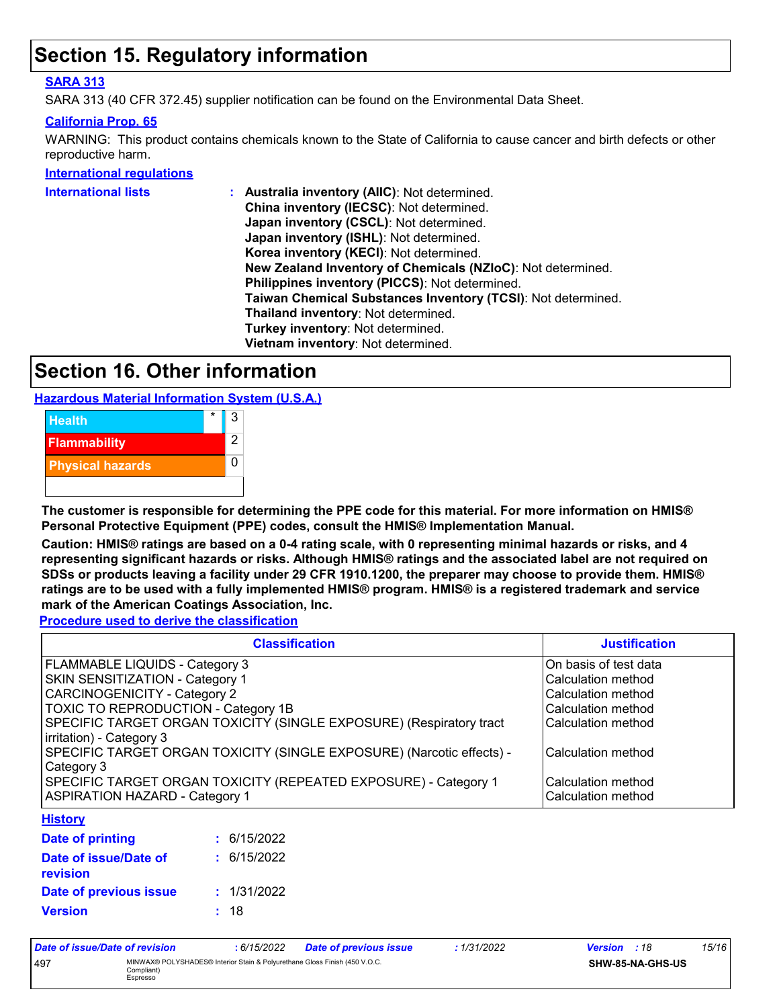### **Section 15. Regulatory information**

#### **SARA 313**

SARA 313 (40 CFR 372.45) supplier notification can be found on the Environmental Data Sheet.

#### **California Prop. 65**

WARNING: This product contains chemicals known to the State of California to cause cancer and birth defects or other reproductive harm.

#### **International regulations**

| <b>International lists</b> | Australia inventory (AllC): Not determined.                  |
|----------------------------|--------------------------------------------------------------|
|                            | China inventory (IECSC): Not determined.                     |
|                            | Japan inventory (CSCL): Not determined.                      |
|                            | Japan inventory (ISHL): Not determined.                      |
|                            | Korea inventory (KECI): Not determined.                      |
|                            | New Zealand Inventory of Chemicals (NZIoC): Not determined.  |
|                            | Philippines inventory (PICCS): Not determined.               |
|                            | Taiwan Chemical Substances Inventory (TCSI): Not determined. |
|                            | Thailand inventory: Not determined.                          |
|                            | Turkey inventory: Not determined.                            |
|                            | Vietnam inventory: Not determined.                           |
|                            |                                                              |

### **Section 16. Other information**

**Hazardous Material Information System (U.S.A.)**



**The customer is responsible for determining the PPE code for this material. For more information on HMIS® Personal Protective Equipment (PPE) codes, consult the HMIS® Implementation Manual.**

**Caution: HMIS® ratings are based on a 0-4 rating scale, with 0 representing minimal hazards or risks, and 4 representing significant hazards or risks. Although HMIS® ratings and the associated label are not required on SDSs or products leaving a facility under 29 CFR 1910.1200, the preparer may choose to provide them. HMIS® ratings are to be used with a fully implemented HMIS® program. HMIS® is a registered trademark and service mark of the American Coatings Association, Inc.**

**Procedure used to derive the classification**

| <b>Classification</b>                                                 | <b>Justification</b>  |
|-----------------------------------------------------------------------|-----------------------|
| FLAMMABLE LIQUIDS - Category 3                                        | On basis of test data |
| <b>SKIN SENSITIZATION - Category 1</b>                                | Calculation method    |
| <b>CARCINOGENICITY - Category 2</b>                                   | Calculation method    |
| TOXIC TO REPRODUCTION - Category 1B                                   | Calculation method    |
| SPECIFIC TARGET ORGAN TOXICITY (SINGLE EXPOSURE) (Respiratory tract   | Calculation method    |
| irritation) - Category 3                                              |                       |
| SPECIFIC TARGET ORGAN TOXICITY (SINGLE EXPOSURE) (Narcotic effects) - | Calculation method    |
| Category 3                                                            |                       |
| SPECIFIC TARGET ORGAN TOXICITY (REPEATED EXPOSURE) - Category 1       | Calculation method    |
| <b>ASPIRATION HAZARD - Category 1</b>                                 | Calculation method    |
| <b>Lintany</b>                                                        |                       |

#### **History**

| Date of printing                         | : 6/15/2022 |
|------------------------------------------|-------------|
| Date of issue/Date of<br><b>revision</b> | : 6/15/2022 |
| Date of previous issue                   | : 1/31/2022 |
| <b>Version</b>                           | : 18        |

| Date of issue/Date of revision |                                                                                                      | : 6/15/2022 | <b>Date of previous issue</b> | : 1/31/2022 | <b>Version</b> : 18 |                  | 15/16 |
|--------------------------------|------------------------------------------------------------------------------------------------------|-------------|-------------------------------|-------------|---------------------|------------------|-------|
| 497                            | MINWAX® POLYSHADES® Interior Stain & Polyurethane Gloss Finish (450 V.O.C.<br>Compliant)<br>Espresso |             |                               |             |                     | SHW-85-NA-GHS-US |       |